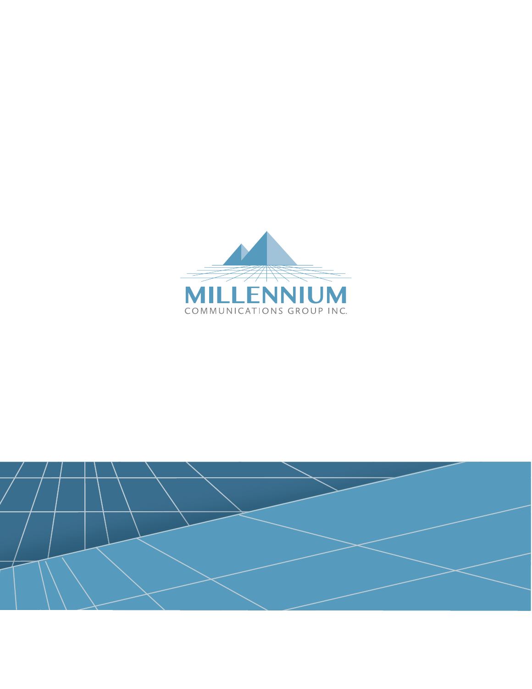

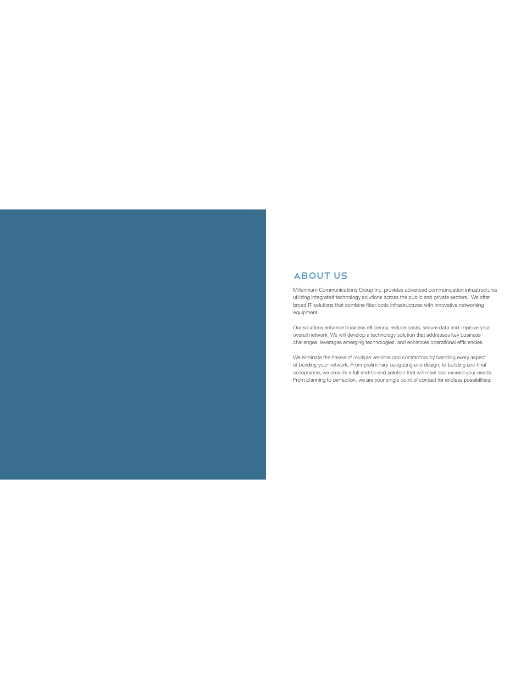### **ABOUT US**

Millennium Communications Group Inc. provides advanced communication infrastructures utilizing integrated technology solutions across the public and private sectors. We offer broad IT solutions that combine fiber optic infrastructures with innovative networking equipment.

Our solutions enhance business efficiency, reduce costs, secure data and improve your overall network. We will develop a technology solution that addresses key business challenges, leverages emerging technologies, and enhances operational efficiencies.

We eliminate the hassle of multiple vendors and contractors by handling every aspect of building your network. From preliminary budgeting and design, to building and final acceptance, we provide a full end-to-end solution that will meet and exceed your needs. From planning to perfection, we are your single point of contact for endless possibilities.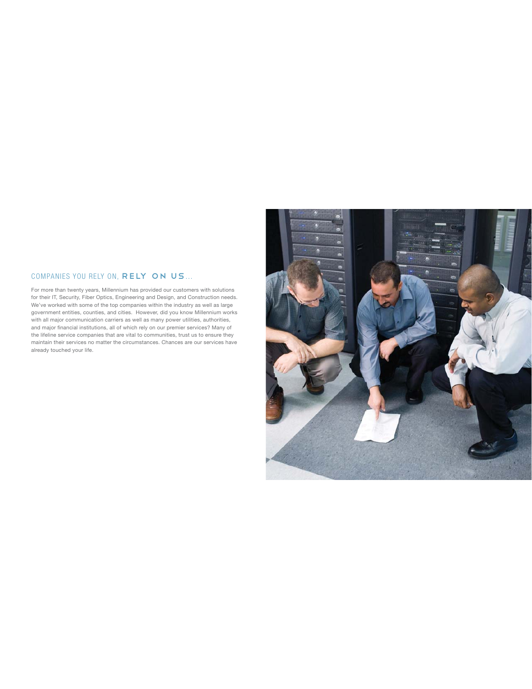#### COMPANIES YOU RELY ON, RELY ON US...

For more than twenty years, Millennium has provided our customers with solutions for their IT, Security, Fiber Optics, Engineering and Design, and Construction needs. We've worked with some of the top companies within the industry as well as large government entities, counties, and cities. However, did you know Millennium works with all major communication carriers as well as many power utilities, authorities, and major financial institutions, all of which rely on our premier services? Many of the lifeline service companies that are vital to communities, trust us to ensure they maintain their services no matter the circumstances. Chances are our services have already touched your life.

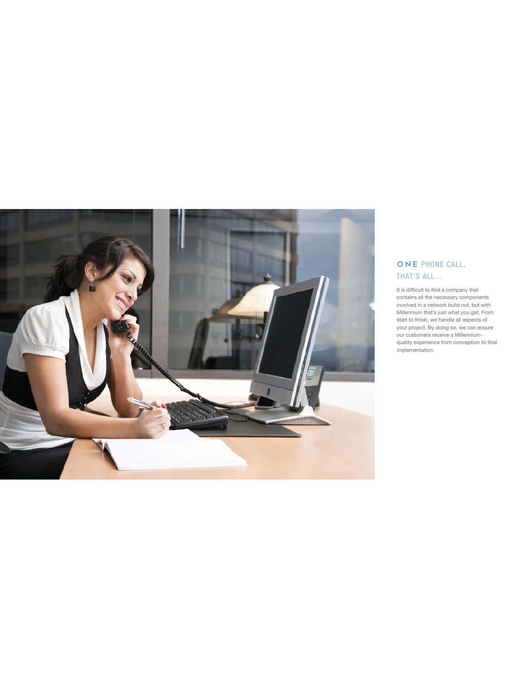

# ONE PHONE CALL, THAT'S ALL...

It is difficult to find a company that contains all the necessary components involved in a network build out, but with Millennium that's just what you get. From start to finish, we handle all aspects of your project. By doing so, we can ensure our customers receive a Millenniumquality experience from conception to final implementation.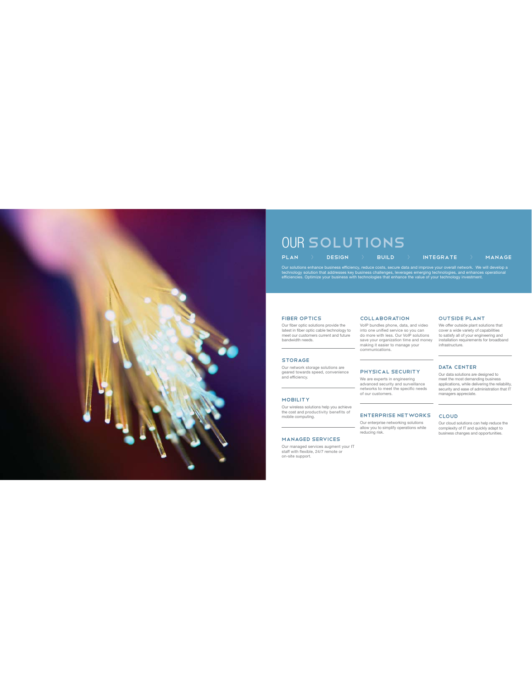

# OUR SOLUTIONS

### |<br>PLAN > DESIGN > BUILD > INTEGRATE > MANAGE

Our solutions enhance business efficiency, reduce costs, secure data and improve your overall network. We will develop a<br>technology solution that addresses key business challenges, leverages emerging technologies, and enha

#### Fiber Optics

Our fiber optic solutions provide the<br>latest in fiber optic cable technology to<br>meet our customers current and future<br>bandwidth needs.

### Collaboration

VolP bundles phone, data, and video<br>into one unified service so you can<br>do more with less. Our VolP solutions<br>save your organization time and money<br>making it easier to manage your<br>communications.  $\overline{a}$ 

Physical Security We are experts in engineering<br>advanced security and surveillance<br>networks to meet the specific needs

Our enterprise networking solutions<br>allow you to simplify operations while<br>reducing risk.

of our customers.

 $\overline{\phantom{a}}$ 

#### Storage

Our network storage solutions are<br>geared towards speed, convenience<br>and efficiency.

#### Mobility

Our wireless solutions help you achieve the cost and productivity benefits of<br>mobile computing.

#### Managed Services

Our managed services augment your IT<br>staff with flexible, 24/7 remote or<br>on-site support.

#### Outside Plant

We offer outside plant solutions that<br>cover a wide variety of capabilities<br>to satisfy all of your engineering and<br>installation requirements for broadband<br>infrastructure.

#### DATA CENTER

Our data solutions are designed to<br>meet the most demanding business<br>applications, while delivering the reliability, security and ease of administration that IT managers appreciate.

#### ENTERPRISE NETWORKS CLOUD

Our cloud solutions can help reduce the complexity of IT and quickly adapt to<br>business changes and opportunities.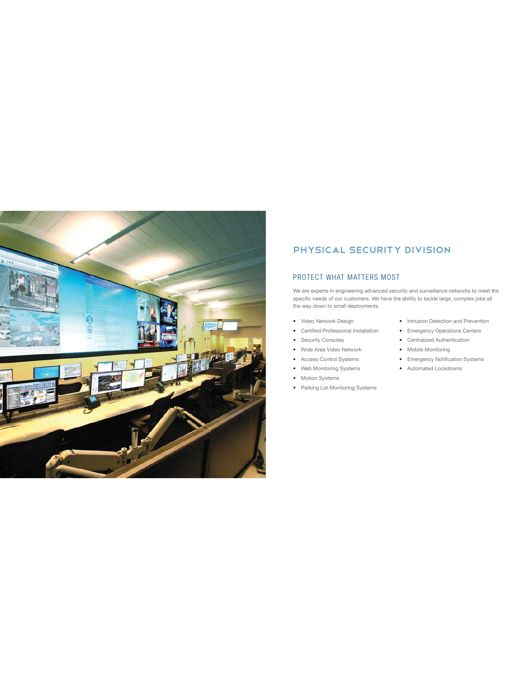

# PhYSical Security division

#### PROTECT WHAT MATTERS MOST

We are experts in engineering advanced security and surveillance networks to meet the specific needs of our customers. We have the ability to tackle large, complex jobs all the way down to small deployments.

- Video Network Design
- Certified Professional Installation
- Security Consoles
- Wide Area Video Network
- Access Control Systems
- Web Monitoring Systems
- Motion Systems
- Parking Lot Monitoring Systems
- Intrusion Detection and Prevention
- Emergency Operations Centers
- Centralized Authentication
- Mobile Monitoring
- Emergency Notification Systems
- Automated Lockdowns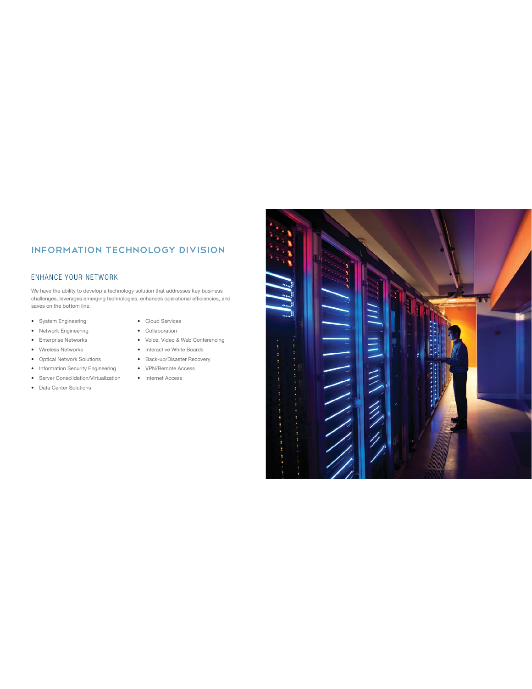# Information technology division

#### ENHANCE YOUR NETWORK

We have the ability to develop a technology solution that addresses key business challenges, leverages emerging technologies, enhances operational efficiencies, and saves on the bottom line.

- 
- System Engineering • Network Engineering
- Enterprise Networks
- Wireless Networks
- Optical Network Solutions
- 
- Information Security Engineering
- Server Consolidation/Virtualization
- Data Center Solutions
- Cloud Services
- Collaboration
- Voice, Video & Web Conferencing
- Interactive White Boards
- Back-up/Disaster Recovery
- VPN/Remote Access
	- Internet Access
- HTTN  $\frac{1}{2}$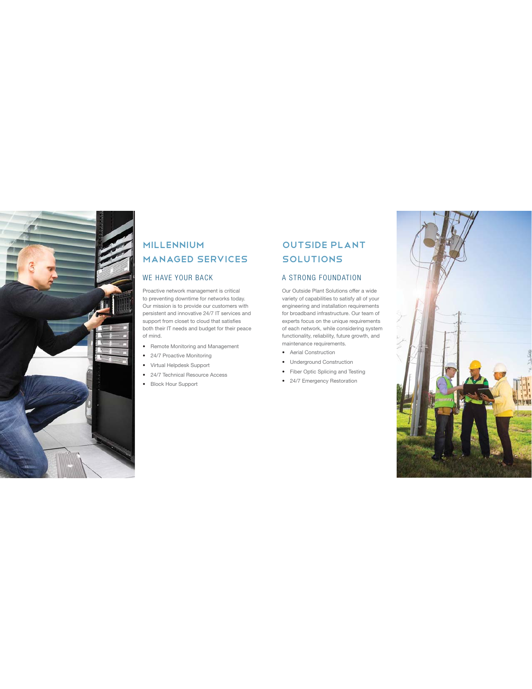

# Millennium Managed Services

#### WE HAVE YOUR BACK A STRONG FOUNDATION

Proactive network management is critical to preventing downtime for networks today. Our mission is to provide our customers with persistent and innovative 24/7 IT services and support from closet to cloud that satisfies both their IT needs and budget for their peace of mind.

- Remote Monitoring and Management
- 24/7 Proactive Monitoring
- Virtual Helpdesk Support
- 24/7 Technical Resource Access
- Block Hour Support

# Outside Plant **SOLUTIONS**

Our Outside Plant Solutions offer a wide variety of capabilities to satisfy all of your engineering and installation requirements for broadband infrastructure. Our team of experts focus on the unique requirements of each network, while considering system functionality, reliability, future growth, and maintenance requirements.

- Aerial Construction
- Underground Construction
- Fiber Optic Splicing and Testing
- 24/7 Emergency Restoration

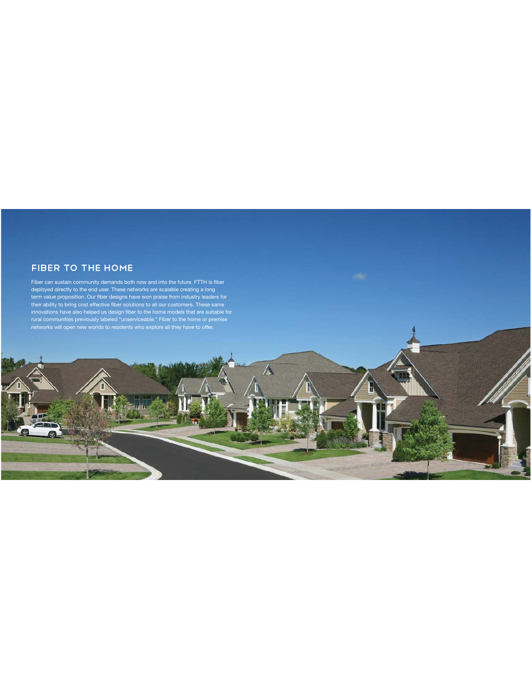## Fiber to the home

Fiber can sustain community demands both now and into the future. FTTH is fiber deployed directly to the end user. These networks are scalable creating a long term value proposition. Our fiber designs have won praise from industry leaders for their ability to bring cost effective fiber solutions to all our customers. These same innovations have also helped us design fiber to the home models that are suitable for rural communities previously labeled "unserviceable." Fiber to the home or premise networks will open new worlds to residents who explore all they have to offer.

A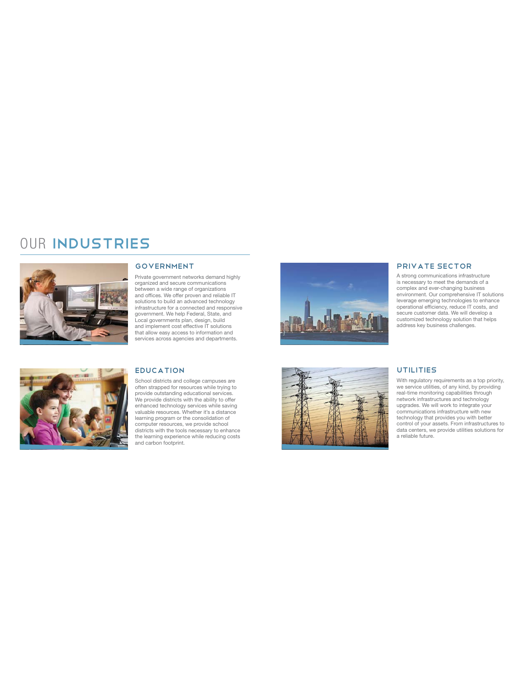# OUR Industries



#### GOVERNMENT

Private government networks demand highly organized and secure communications between a wide range of organizations and offices. We offer proven and reliable IT<br>solutions to build an advanced technology infrastructure for a connected and responsive government. We help Federal, State, and Local governments plan, design, build<br>and implement cost effective IT solutions that allow easy access to information and services across agencies and departments.

#### EDUCATION



School districts and college campuses are often strapped for resources while trying to<br>provide outstanding educational services. We provide districts with the ability to offer enhanced technology services while saving<br>valuable resources. Whether it's a distance SUBJECT PRODUCED THIS PART OF A BIGGET computer resources, we provide school districts with the tools necessary to enhance<br>the learning experience while reducing costs and carbon footprint.





#### PRIVATE SECTOR

A strong communications infrastructure is necessary to meet the demands of a complex and ever-changing business environment. Our comprehensive IT solutions leverage emerging technologies to enhance operational efficiency, reduce IT costs, and<br>secure customer data. We will develop a customized technology solution that helps address key business challenges.

#### UTILITIES

With regulatory requirements as a top priority, we service utilities, of any kind, by providing<br>real-time monitoring capabilities through network infrastructures and technology upgrades. We will work to integrate your  $\sim$  communications infrastructure with new technology that provides you with better control of your assets. From infrastructures to<br>data centers, we provide utilities solutions for a reliable future.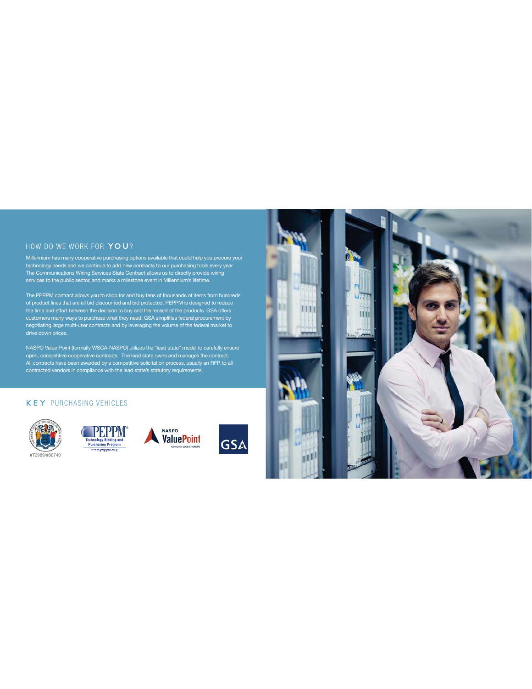#### HOW DO WE WORK FOR YOU?

Millennium has many cooperative purchasing options available that could help you procure your technology needs and we continue to add new contracts to our purchasing tools every year. The Communications Wiring Services State Contract allows us to directly provide wiring services to the public sector, and marks a milestone event in Millennium's lifetime.

The PEPPM contract allows you to shop for and buy tens of thousands of items from hundreds of product lines that are all bid discounted and bid protected. PEPPM is designed to reduce the time and effort between the decision to buy and the receipt of the products. GSA offers customers many ways to purchase what they need. GSA simplifies federal procurement by negotiating large multi-user contracts and by leveraging the volume of the federal market to drive down prices.

NASPO Value Point (formally WSCA-NASPO) utilizes the "lead state" model to carefully ensure open, competitive cooperative contracts. The lead state owns and manages the contract. All contracts have been awarded by a competitive solicitation process, usually an RFP, to all contracted vendors in compliance with the lead state's statutory requirements.

#### KEY PURCHASING VEHICLES









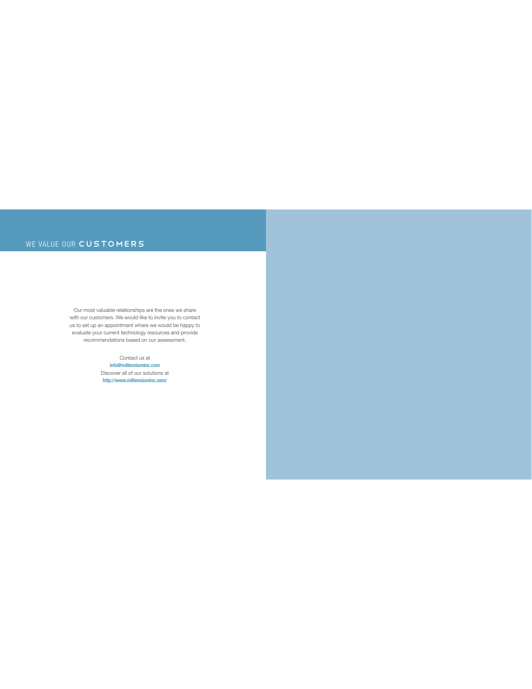## WE VALUE OUR CUSTOMERS

Our most valuable relationships are the ones we share with our customers. We would like to invite you to contact us to set up an appointment where we would be happy to evaluate your current technology resources and provide recommendations based on our assessment.

> Contact us at **info@millenniuminc.com**  Discover all of our solutions at **http://www.millenniuminc.com/**